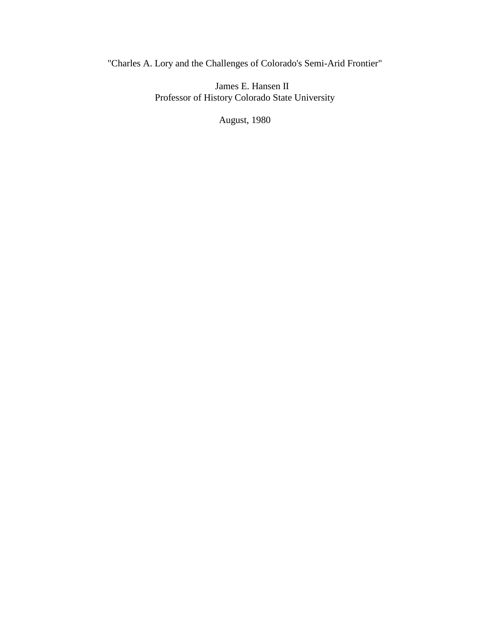"Charles A. Lory and the Challenges of Colorado's Semi-Arid Frontier"

James E. Hansen II Professor of History Colorado State University

August, 1980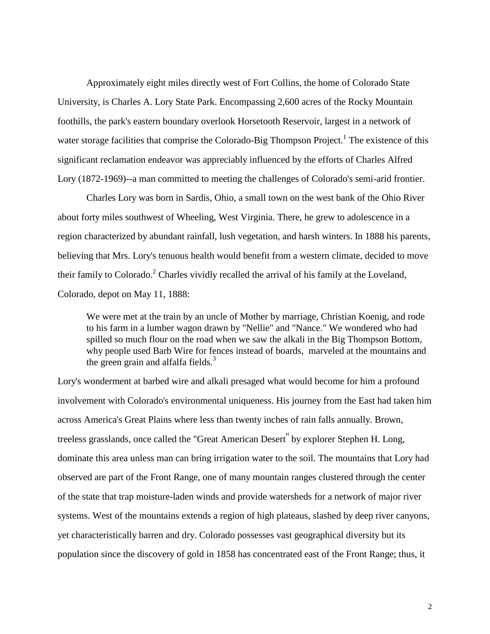Approximately eight miles directly west of Fort Collins, the home of Colorado State University, is Charles A. Lory State Park. Encompassing 2,600 acres of the Rocky Mountain foothills, the park's eastern boundary overlook Horsetooth Reservoir, largest in a network of water storage facilities that comprise the Colorado-Big Thompson Project.<sup>1</sup> The existence of this significant reclamation endeavor was appreciably influenced by the efforts of Charles Alfred Lory (1872-1969)--a man committed to meeting the challenges of Colorado's semi-arid frontier.

Charles Lory was born in Sardis, Ohio, a small town on the west bank of the Ohio River about forty miles southwest of Wheeling, West Virginia. There, he grew to adolescence in a region characterized by abundant rainfall, lush vegetation, and harsh winters. In 1888 his parents, believing that Mrs. Lory's tenuous health would benefit from a western climate, decided to move their family to Colorado.<sup>2</sup> Charles vividly recalled the arrival of his family at the Loveland, Colorado, depot on May 11, 1888:

We were met at the train by an uncle of Mother by marriage, Christian Koenig, and rode to his farm in a lumber wagon drawn by "Nellie" and "Nance." We wondered who had spilled so much flour on the road when we saw the alkali in the Big Thompson Bottom, why people used Barb Wire for fences instead of boards, marveled at the mountains and the green grain and alfalfa fields. $3$ 

Lory's wonderment at barbed wire and alkali presaged what would become for him a profound involvement with Colorado's environmental uniqueness. His journey from the East had taken him across America's Great Plains where less than twenty inches of rain falls annually. Brown, treeless grasslands, once called the "Great American Desert'' by explorer Stephen H. Long, dominate this area unless man can bring irrigation water to the soil. The mountains that Lory had observed are part of the Front Range, one of many mountain ranges clustered through the center of the state that trap moisture-laden winds and provide watersheds for a network of major river systems. West of the mountains extends a region of high plateaus, slashed by deep river canyons, yet characteristically barren and dry. Colorado possesses vast geographical diversity but its population since the discovery of gold in 1858 has concentrated east of the Front Range; thus, it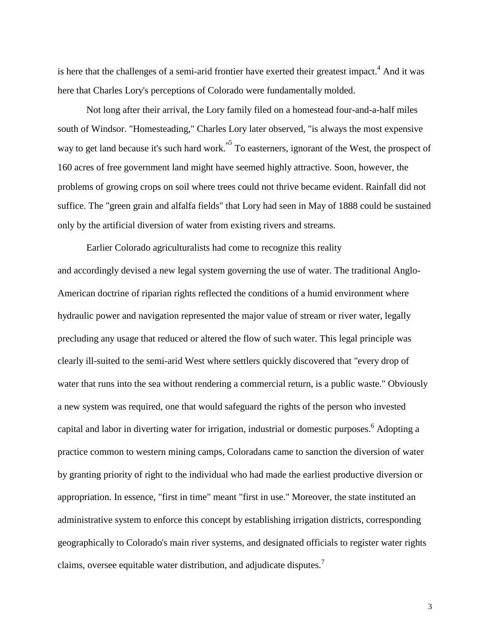is here that the challenges of a semi-arid frontier have exerted their greatest impact.<sup>4</sup> And it was here that Charles Lory's perceptions of Colorado were fundamentally molded.

Not long after their arrival, the Lory family filed on a homestead four-and-a-half miles south of Windsor. "Homesteading," Charles Lory later observed, "is always the most expensive way to get land because it's such hard work."<sup>5</sup> To easterners, ignorant of the West, the prospect of 160 acres of free government land might have seemed highly attractive. Soon, however, the problems of growing crops on soil where trees could not thrive became evident. Rainfall did not suffice. The "green grain and alfalfa fields" that Lory had seen in May of 1888 could be sustained only by the artificial diversion of water from existing rivers and streams.

Earlier Colorado agriculturalists had come to recognize this reality and accordingly devised a new legal system governing the use of water. The traditional Anglo-American doctrine of riparian rights reflected the conditions of a humid environment where hydraulic power and navigation represented the major value of stream or river water, legally precluding any usage that reduced or altered the flow of such water. This legal principle was clearly ill-suited to the semi-arid West where settlers quickly discovered that "every drop of water that runs into the sea without rendering a commercial return, is a public waste." Obviously a new system was required, one that would safeguard the rights of the person who invested capital and labor in diverting water for irrigation, industrial or domestic purposes.<sup>6</sup> Adopting a practice common to western mining camps, Coloradans came to sanction the diversion of water by granting priority of right to the individual who had made the earliest productive diversion or appropriation. In essence, "first in time" meant "first in use." Moreover, the state instituted an administrative system to enforce this concept by establishing irrigation districts, corresponding geographically to Colorado's main river systems, and designated officials to register water rights claims, oversee equitable water distribution, and adjudicate disputes.<sup>7</sup>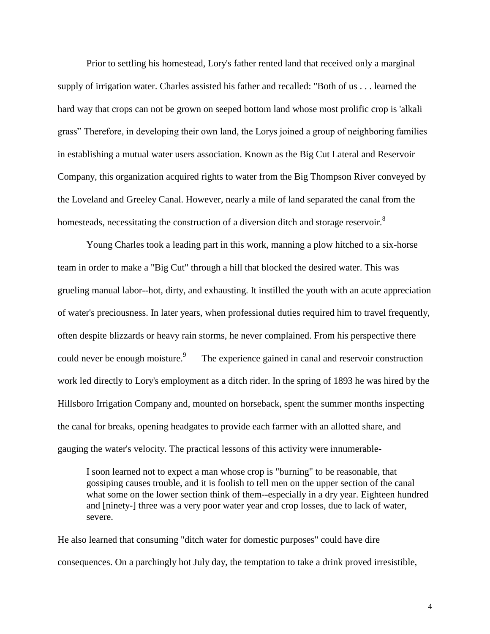Prior to settling his homestead, Lory's father rented land that received only a marginal supply of irrigation water. Charles assisted his father and recalled: "Both of us . . . learned the hard way that crops can not be grown on seeped bottom land whose most prolific crop is 'alkali grass" Therefore, in developing their own land, the Lorys joined a group of neighboring families in establishing a mutual water users association. Known as the Big Cut Lateral and Reservoir Company, this organization acquired rights to water from the Big Thompson River conveyed by the Loveland and Greeley Canal. However, nearly a mile of land separated the canal from the homesteads, necessitating the construction of a diversion ditch and storage reservoir.<sup>8</sup>

Young Charles took a leading part in this work, manning a plow hitched to a six-horse team in order to make a "Big Cut" through a hill that blocked the desired water. This was grueling manual labor--hot, dirty, and exhausting. It instilled the youth with an acute appreciation of water's preciousness. In later years, when professional duties required him to travel frequently, often despite blizzards or heavy rain storms, he never complained. From his perspective there could never be enough moisture.<sup>9</sup> The experience gained in canal and reservoir construction work led directly to Lory's employment as a ditch rider. In the spring of 1893 he was hired by the Hillsboro Irrigation Company and, mounted on horseback, spent the summer months inspecting the canal for breaks, opening headgates to provide each farmer with an allotted share, and gauging the water's velocity. The practical lessons of this activity were innumerable-

I soon learned not to expect a man whose crop is "burning" to be reasonable, that gossiping causes trouble, and it is foolish to tell men on the upper section of the canal what some on the lower section think of them--especially in a dry year. Eighteen hundred and [ninety-] three was a very poor water year and crop losses, due to lack of water, severe.

He also learned that consuming "ditch water for domestic purposes" could have dire consequences. On a parchingly hot July day, the temptation to take a drink proved irresistible,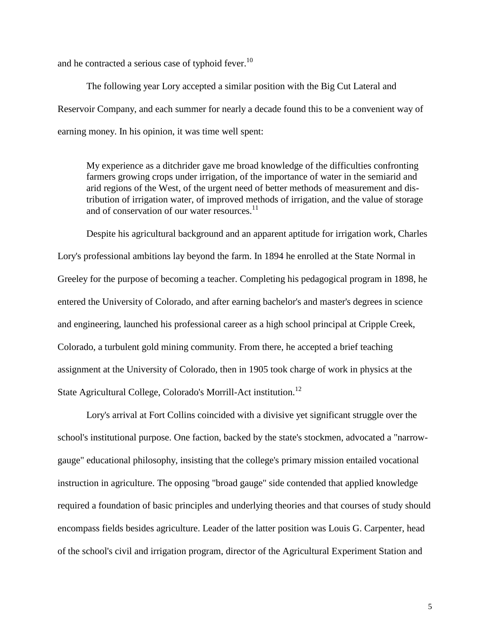and he contracted a serious case of typhoid fever.<sup>10</sup>

The following year Lory accepted a similar position with the Big Cut Lateral and Reservoir Company, and each summer for nearly a decade found this to be a convenient way of earning money. In his opinion, it was time well spent:

My experience as a ditchrider gave me broad knowledge of the difficulties confronting farmers growing crops under irrigation, of the importance of water in the semiarid and arid regions of the West, of the urgent need of better methods of measurement and distribution of irrigation water, of improved methods of irrigation, and the value of storage and of conservation of our water resources. $^{11}$ 

Despite his agricultural background and an apparent aptitude for irrigation work, Charles Lory's professional ambitions lay beyond the farm. In 1894 he enrolled at the State Normal in Greeley for the purpose of becoming a teacher. Completing his pedagogical program in 1898, he entered the University of Colorado, and after earning bachelor's and master's degrees in science and engineering, launched his professional career as a high school principal at Cripple Creek, Colorado, a turbulent gold mining community. From there, he accepted a brief teaching assignment at the University of Colorado, then in 1905 took charge of work in physics at the State Agricultural College, Colorado's Morrill-Act institution.<sup>12</sup>

Lory's arrival at Fort Collins coincided with a divisive yet significant struggle over the school's institutional purpose. One faction, backed by the state's stockmen, advocated a "narrowgauge" educational philosophy, insisting that the college's primary mission entailed vocational instruction in agriculture. The opposing "broad gauge" side contended that applied knowledge required a foundation of basic principles and underlying theories and that courses of study should encompass fields besides agriculture. Leader of the latter position was Louis G. Carpenter, head of the school's civil and irrigation program, director of the Agricultural Experiment Station and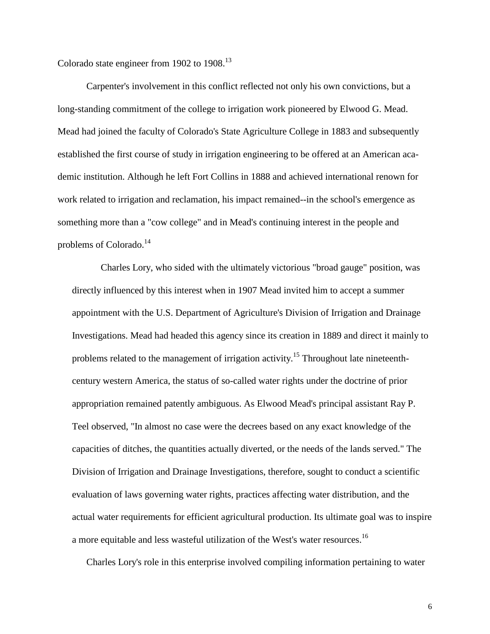Colorado state engineer from 1902 to 1908.<sup>13</sup>

Carpenter's involvement in this conflict reflected not only his own convictions, but a long-standing commitment of the college to irrigation work pioneered by Elwood G. Mead. Mead had joined the faculty of Colorado's State Agriculture College in 1883 and subsequently established the first course of study in irrigation engineering to be offered at an American academic institution. Although he left Fort Collins in 1888 and achieved international renown for work related to irrigation and reclamation, his impact remained--in the school's emergence as something more than a "cow college" and in Mead's continuing interest in the people and problems of Colorado.<sup>14</sup>

Charles Lory, who sided with the ultimately victorious "broad gauge" position, was directly influenced by this interest when in 1907 Mead invited him to accept a summer appointment with the U.S. Department of Agriculture's Division of Irrigation and Drainage Investigations. Mead had headed this agency since its creation in 1889 and direct it mainly to problems related to the management of irrigation activity.<sup>15</sup> Throughout late nineteenthcentury western America, the status of so-called water rights under the doctrine of prior appropriation remained patently ambiguous. As Elwood Mead's principal assistant Ray P. Teel observed, "In almost no case were the decrees based on any exact knowledge of the capacities of ditches, the quantities actually diverted, or the needs of the lands served." The Division of Irrigation and Drainage Investigations, therefore, sought to conduct a scientific evaluation of laws governing water rights, practices affecting water distribution, and the actual water requirements for efficient agricultural production. Its ultimate goal was to inspire a more equitable and less wasteful utilization of the West's water resources.<sup>16</sup>

Charles Lory's role in this enterprise involved compiling information pertaining to water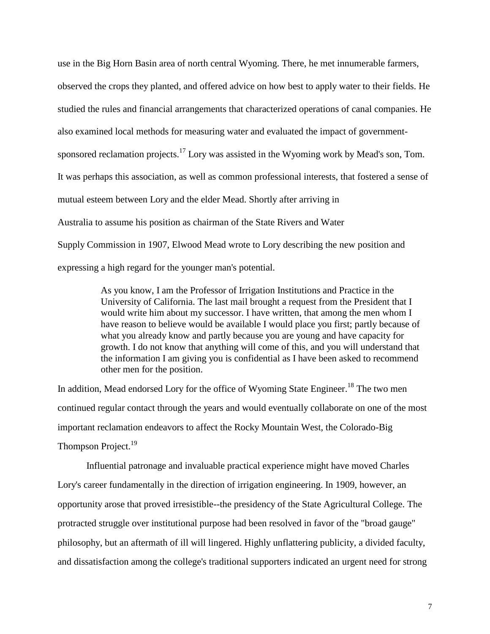use in the Big Horn Basin area of north central Wyoming. There, he met innumerable farmers, observed the crops they planted, and offered advice on how best to apply water to their fields. He studied the rules and financial arrangements that characterized operations of canal companies. He also examined local methods for measuring water and evaluated the impact of governmentsponsored reclamation projects.<sup>17</sup> Lory was assisted in the Wyoming work by Mead's son, Tom. It was perhaps this association, as well as common professional interests, that fostered a sense of mutual esteem between Lory and the elder Mead. Shortly after arriving in Australia to assume his position as chairman of the State Rivers and Water Supply Commission in 1907, Elwood Mead wrote to Lory describing the new position and expressing a high regard for the younger man's potential.

> As you know, I am the Professor of Irrigation Institutions and Practice in the University of California. The last mail brought a request from the President that I would write him about my successor. I have written, that among the men whom I have reason to believe would be available I would place you first; partly because of what you already know and partly because you are young and have capacity for growth. I do not know that anything will come of this, and you will understand that the information I am giving you is confidential as I have been asked to recommend other men for the position.

In addition, Mead endorsed Lory for the office of Wyoming State Engineer.<sup>18</sup> The two men continued regular contact through the years and would eventually collaborate on one of the most important reclamation endeavors to affect the Rocky Mountain West, the Colorado-Big Thompson Project.<sup>19</sup>

Influential patronage and invaluable practical experience might have moved Charles Lory's career fundamentally in the direction of irrigation engineering. In 1909, however, an opportunity arose that proved irresistible--the presidency of the State Agricultural College. The protracted struggle over institutional purpose had been resolved in favor of the "broad gauge" philosophy, but an aftermath of ill will lingered. Highly unflattering publicity, a divided faculty, and dissatisfaction among the college's traditional supporters indicated an urgent need for strong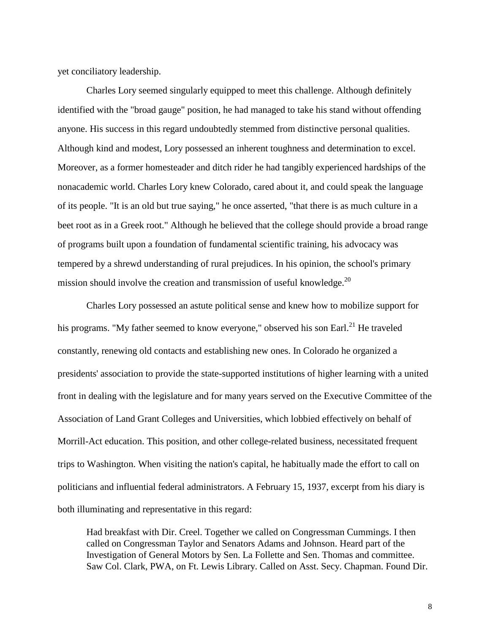yet conciliatory leadership.

Charles Lory seemed singularly equipped to meet this challenge. Although definitely identified with the "broad gauge" position, he had managed to take his stand without offending anyone. His success in this regard undoubtedly stemmed from distinctive personal qualities. Although kind and modest, Lory possessed an inherent toughness and determination to excel. Moreover, as a former homesteader and ditch rider he had tangibly experienced hardships of the nonacademic world. Charles Lory knew Colorado, cared about it, and could speak the language of its people. "It is an old but true saying," he once asserted, "that there is as much culture in a beet root as in a Greek root." Although he believed that the college should provide a broad range of programs built upon a foundation of fundamental scientific training, his advocacy was tempered by a shrewd understanding of rural prejudices. In his opinion, the school's primary mission should involve the creation and transmission of useful knowledge.<sup>20</sup>

Charles Lory possessed an astute political sense and knew how to mobilize support for his programs. "My father seemed to know everyone," observed his son Earl.<sup>21</sup> He traveled constantly, renewing old contacts and establishing new ones. In Colorado he organized a presidents' association to provide the state-supported institutions of higher learning with a united front in dealing with the legislature and for many years served on the Executive Committee of the Association of Land Grant Colleges and Universities, which lobbied effectively on behalf of Morrill-Act education. This position, and other college-related business, necessitated frequent trips to Washington. When visiting the nation's capital, he habitually made the effort to call on politicians and influential federal administrators. A February 15, 1937, excerpt from his diary is both illuminating and representative in this regard:

Had breakfast with Dir. Creel. Together we called on Congressman Cummings. I then called on Congressman Taylor and Senators Adams and Johnson. Heard part of the Investigation of General Motors by Sen. La Follette and Sen. Thomas and committee. Saw Col. Clark, PWA, on Ft. Lewis Library. Called on Asst. Secy. Chapman. Found Dir.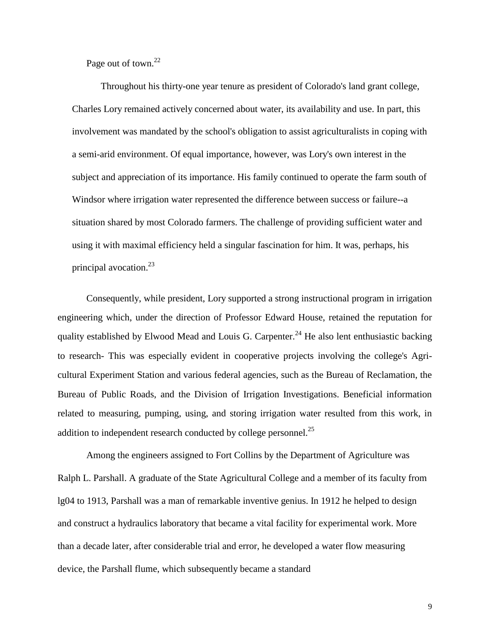Page out of town.<sup>22</sup>

Throughout his thirty-one year tenure as president of Colorado's land grant college, Charles Lory remained actively concerned about water, its availability and use. In part, this involvement was mandated by the school's obligation to assist agriculturalists in coping with a semi-arid environment. Of equal importance, however, was Lory's own interest in the subject and appreciation of its importance. His family continued to operate the farm south of Windsor where irrigation water represented the difference between success or failure--a situation shared by most Colorado farmers. The challenge of providing sufficient water and using it with maximal efficiency held a singular fascination for him. It was, perhaps, his principal avocation.<sup>23</sup>

Consequently, while president, Lory supported a strong instructional program in irrigation engineering which, under the direction of Professor Edward House, retained the reputation for quality established by Elwood Mead and Louis G. Carpenter.<sup>24</sup> He also lent enthusiastic backing to research- This was especially evident in cooperative projects involving the college's Agricultural Experiment Station and various federal agencies, such as the Bureau of Reclamation, the Bureau of Public Roads, and the Division of Irrigation Investigations. Beneficial information related to measuring, pumping, using, and storing irrigation water resulted from this work, in addition to independent research conducted by college personnel.<sup>25</sup>

Among the engineers assigned to Fort Collins by the Department of Agriculture was Ralph L. Parshall. A graduate of the State Agricultural College and a member of its faculty from lg04 to 1913, Parshall was a man of remarkable inventive genius. In 1912 he helped to design and construct a hydraulics laboratory that became a vital facility for experimental work. More than a decade later, after considerable trial and error, he developed a water flow measuring device, the Parshall flume, which subsequently became a standard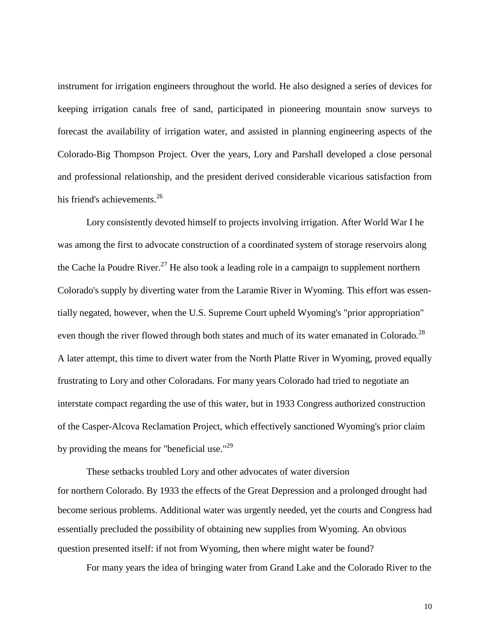instrument for irrigation engineers throughout the world. He also designed a series of devices for keeping irrigation canals free of sand, participated in pioneering mountain snow surveys to forecast the availability of irrigation water, and assisted in planning engineering aspects of the Colorado-Big Thompson Project. Over the years, Lory and Parshall developed a close personal and professional relationship, and the president derived considerable vicarious satisfaction from his friend's achievements.<sup>26</sup>

Lory consistently devoted himself to projects involving irrigation. After World War I he was among the first to advocate construction of a coordinated system of storage reservoirs along the Cache la Poudre River.<sup>27</sup> He also took a leading role in a campaign to supplement northern Colorado's supply by diverting water from the Laramie River in Wyoming. This effort was essentially negated, however, when the U.S. Supreme Court upheld Wyoming's "prior appropriation" even though the river flowed through both states and much of its water emanated in Colorado.<sup>28</sup> A later attempt, this time to divert water from the North Platte River in Wyoming, proved equally frustrating to Lory and other Coloradans. For many years Colorado had tried to negotiate an interstate compact regarding the use of this water, but in 1933 Congress authorized construction of the Casper-Alcova Reclamation Project, which effectively sanctioned Wyoming's prior claim by providing the means for "beneficial use." $^{29}$ 

These setbacks troubled Lory and other advocates of water diversion for northern Colorado. By 1933 the effects of the Great Depression and a prolonged drought had become serious problems. Additional water was urgently needed, yet the courts and Congress had essentially precluded the possibility of obtaining new supplies from Wyoming. An obvious question presented itself: if not from Wyoming, then where might water be found?

For many years the idea of bringing water from Grand Lake and the Colorado River to the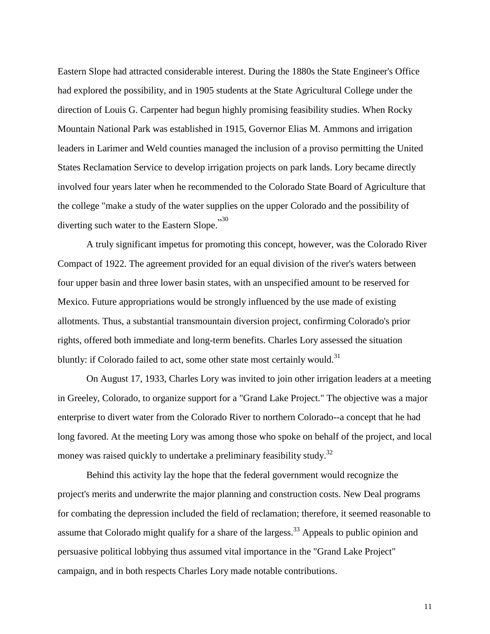Eastern Slope had attracted considerable interest. During the 1880s the State Engineer's Office had explored the possibility, and in 1905 students at the State Agricultural College under the direction of Louis G. Carpenter had begun highly promising feasibility studies. When Rocky Mountain National Park was established in 1915, Governor Elias M. Ammons and irrigation leaders in Larimer and Weld counties managed the inclusion of a proviso permitting the United States Reclamation Service to develop irrigation projects on park lands. Lory became directly involved four years later when he recommended to the Colorado State Board of Agriculture that the college "make a study of the water supplies on the upper Colorado and the possibility of <sup>30</sup> diverting such water to the Eastern Slope.

A truly significant impetus for promoting this concept, however, was the Colorado River Compact of 1922. The agreement provided for an equal division of the river's waters between four upper basin and three lower basin states, with an unspecified amount to be reserved for Mexico. Future appropriations would be strongly influenced by the use made of existing allotments. Thus, a substantial transmountain diversion project, confirming Colorado's prior rights, offered both immediate and long-term benefits. Charles Lory assessed the situation bluntly: if Colorado failed to act, some other state most certainly would.<sup>31</sup>

On August 17, 1933, Charles Lory was invited to join other irrigation leaders at a meeting in Greeley, Colorado, to organize support for a "Grand Lake Project." The objective was a major enterprise to divert water from the Colorado River to northern Colorado--a concept that he had long favored. At the meeting Lory was among those who spoke on behalf of the project, and local money was raised quickly to undertake a preliminary feasibility study.<sup>32</sup>

Behind this activity lay the hope that the federal government would recognize the project's merits and underwrite the major planning and construction costs. New Deal programs for combating the depression included the field of reclamation; therefore, it seemed reasonable to assume that Colorado might qualify for a share of the largess.<sup>33</sup> Appeals to public opinion and persuasive political lobbying thus assumed vital importance in the "Grand Lake Project" campaign, and in both respects Charles Lory made notable contributions.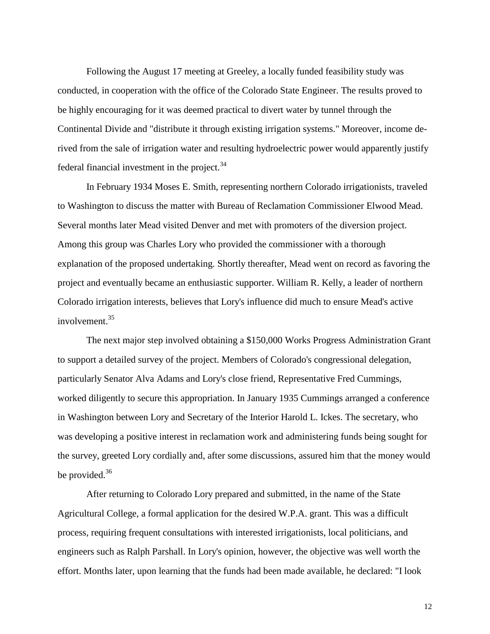Following the August 17 meeting at Greeley, a locally funded feasibility study was conducted, in cooperation with the office of the Colorado State Engineer. The results proved to be highly encouraging for it was deemed practical to divert water by tunnel through the Continental Divide and "distribute it through existing irrigation systems." Moreover, income derived from the sale of irrigation water and resulting hydroelectric power would apparently justify federal financial investment in the project.<sup>34</sup>

In February 1934 Moses E. Smith, representing northern Colorado irrigationists, traveled to Washington to discuss the matter with Bureau of Reclamation Commissioner Elwood Mead. Several months later Mead visited Denver and met with promoters of the diversion project. Among this group was Charles Lory who provided the commissioner with a thorough explanation of the proposed undertaking. Shortly thereafter, Mead went on record as favoring the project and eventually became an enthusiastic supporter. William R. Kelly, a leader of northern Colorado irrigation interests, believes that Lory's influence did much to ensure Mead's active involvement.<sup>35</sup>

The next major step involved obtaining a \$150,000 Works Progress Administration Grant to support a detailed survey of the project. Members of Colorado's congressional delegation, particularly Senator Alva Adams and Lory's close friend, Representative Fred Cummings, worked diligently to secure this appropriation. In January 1935 Cummings arranged a conference in Washington between Lory and Secretary of the Interior Harold L. Ickes. The secretary, who was developing a positive interest in reclamation work and administering funds being sought for the survey, greeted Lory cordially and, after some discussions, assured him that the money would be provided. $36$ 

After returning to Colorado Lory prepared and submitted, in the name of the State Agricultural College, a formal application for the desired W.P.A. grant. This was a difficult process, requiring frequent consultations with interested irrigationists, local politicians, and engineers such as Ralph Parshall. In Lory's opinion, however, the objective was well worth the effort. Months later, upon learning that the funds had been made available, he declared: "I look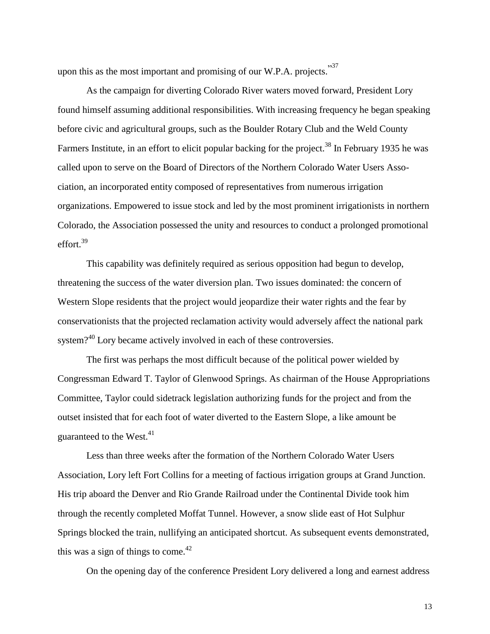upon this as the most important and promising of our W.P.A. projects.<sup>37</sup>

As the campaign for diverting Colorado River waters moved forward, President Lory found himself assuming additional responsibilities. With increasing frequency he began speaking before civic and agricultural groups, such as the Boulder Rotary Club and the Weld County Farmers Institute, in an effort to elicit popular backing for the project.<sup>38</sup> In February 1935 he was called upon to serve on the Board of Directors of the Northern Colorado Water Users Association, an incorporated entity composed of representatives from numerous irrigation organizations. Empowered to issue stock and led by the most prominent irrigationists in northern Colorado, the Association possessed the unity and resources to conduct a prolonged promotional effort.<sup>39</sup>

This capability was definitely required as serious opposition had begun to develop, threatening the success of the water diversion plan. Two issues dominated: the concern of Western Slope residents that the project would jeopardize their water rights and the fear by conservationists that the projected reclamation activity would adversely affect the national park system?<sup>40</sup> Lory became actively involved in each of these controversies.

The first was perhaps the most difficult because of the political power wielded by Congressman Edward T. Taylor of Glenwood Springs. As chairman of the House Appropriations Committee, Taylor could sidetrack legislation authorizing funds for the project and from the outset insisted that for each foot of water diverted to the Eastern Slope, a like amount be guaranteed to the West. $41$ 

Less than three weeks after the formation of the Northern Colorado Water Users Association, Lory left Fort Collins for a meeting of factious irrigation groups at Grand Junction. His trip aboard the Denver and Rio Grande Railroad under the Continental Divide took him through the recently completed Moffat Tunnel. However, a snow slide east of Hot Sulphur Springs blocked the train, nullifying an anticipated shortcut. As subsequent events demonstrated, this was a sign of things to come. $42$ 

On the opening day of the conference President Lory delivered a long and earnest address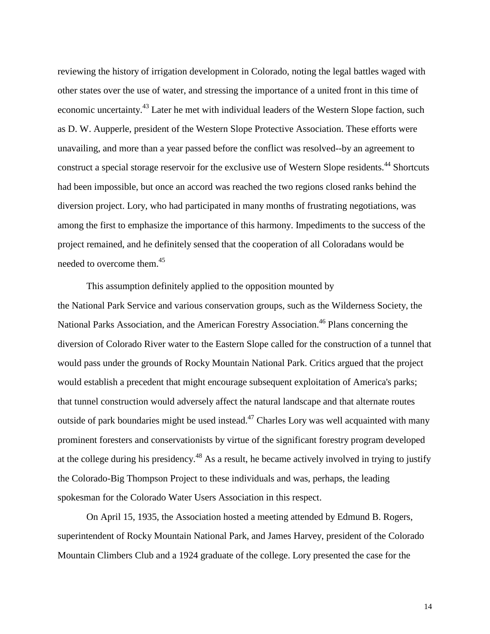reviewing the history of irrigation development in Colorado, noting the legal battles waged with other states over the use of water, and stressing the importance of a united front in this time of economic uncertainty.<sup>43</sup> Later he met with individual leaders of the Western Slope faction, such as D. W. Aupperle, president of the Western Slope Protective Association. These efforts were unavailing, and more than a year passed before the conflict was resolved--by an agreement to construct a special storage reservoir for the exclusive use of Western Slope residents.<sup>44</sup> Shortcuts had been impossible, but once an accord was reached the two regions closed ranks behind the diversion project. Lory, who had participated in many months of frustrating negotiations, was among the first to emphasize the importance of this harmony. Impediments to the success of the project remained, and he definitely sensed that the cooperation of all Coloradans would be needed to overcome them.<sup>45</sup>

This assumption definitely applied to the opposition mounted by the National Park Service and various conservation groups, such as the Wilderness Society, the National Parks Association, and the American Forestry Association.<sup>46</sup> Plans concerning the diversion of Colorado River water to the Eastern Slope called for the construction of a tunnel that would pass under the grounds of Rocky Mountain National Park. Critics argued that the project would establish a precedent that might encourage subsequent exploitation of America's parks; that tunnel construction would adversely affect the natural landscape and that alternate routes outside of park boundaries might be used instead.<sup> $47$ </sup> Charles Lory was well acquainted with many prominent foresters and conservationists by virtue of the significant forestry program developed at the college during his presidency.<sup>48</sup> As a result, he became actively involved in trying to justify the Colorado-Big Thompson Project to these individuals and was, perhaps, the leading spokesman for the Colorado Water Users Association in this respect.

On April 15, 1935, the Association hosted a meeting attended by Edmund B. Rogers, superintendent of Rocky Mountain National Park, and James Harvey, president of the Colorado Mountain Climbers Club and a 1924 graduate of the college. Lory presented the case for the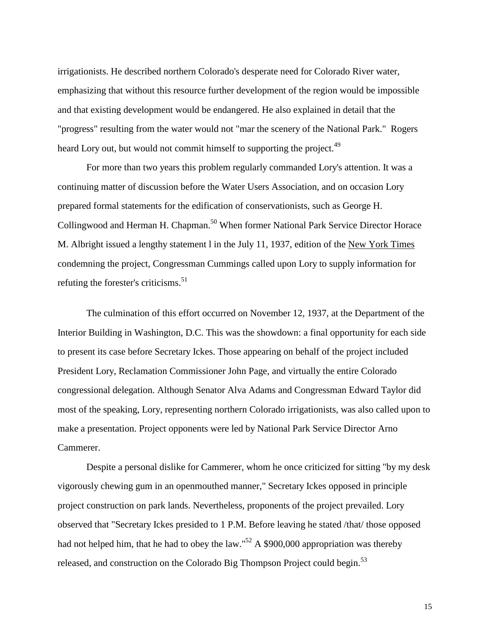irrigationists. He described northern Colorado's desperate need for Colorado River water, emphasizing that without this resource further development of the region would be impossible and that existing development would be endangered. He also explained in detail that the "progress" resulting from the water would not "mar the scenery of the National Park." Rogers heard Lory out, but would not commit himself to supporting the project.<sup>49</sup>

For more than two years this problem regularly commanded Lory's attention. It was a continuing matter of discussion before the Water Users Association, and on occasion Lory prepared formal statements for the edification of conservationists, such as George H. Collingwood and Herman H. Chapman.<sup>50</sup> When former National Park Service Director Horace M. Albright issued a lengthy statement l in the July 11, 1937, edition of the New York Times condemning the project, Congressman Cummings called upon Lory to supply information for refuting the forester's criticisms.<sup>51</sup>

The culmination of this effort occurred on November 12, 1937, at the Department of the Interior Building in Washington, D.C. This was the showdown: a final opportunity for each side to present its case before Secretary Ickes. Those appearing on behalf of the project included President Lory, Reclamation Commissioner John Page, and virtually the entire Colorado congressional delegation. Although Senator Alva Adams and Congressman Edward Taylor did most of the speaking, Lory, representing northern Colorado irrigationists, was also called upon to make a presentation. Project opponents were led by National Park Service Director Arno Cammerer.

Despite a personal dislike for Cammerer, whom he once criticized for sitting "by my desk vigorously chewing gum in an openmouthed manner," Secretary Ickes opposed in principle project construction on park lands. Nevertheless, proponents of the project prevailed. Lory observed that "Secretary Ickes presided to 1 P.M. Before leaving he stated /that/ those opposed had not helped him, that he had to obey the law."<sup>52</sup> A \$900,000 appropriation was thereby released, and construction on the Colorado Big Thompson Project could begin.<sup>53</sup>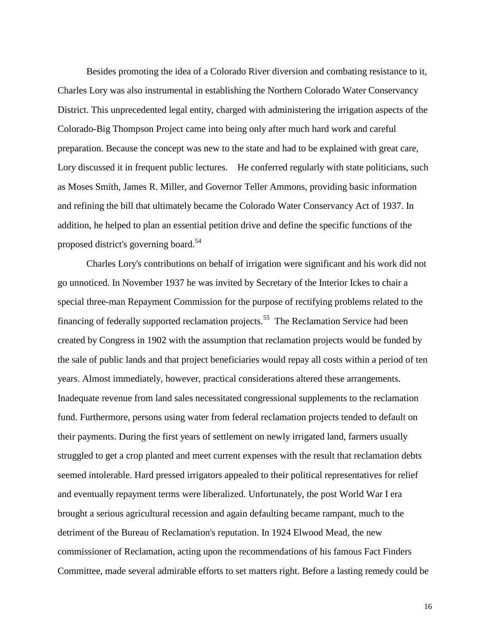Besides promoting the idea of a Colorado River diversion and combating resistance to it, Charles Lory was also instrumental in establishing the Northern Colorado Water Conservancy District. This unprecedented legal entity, charged with administering the irrigation aspects of the Colorado-Big Thompson Project came into being only after much hard work and careful preparation. Because the concept was new to the state and had to be explained with great care, Lory discussed it in frequent public lectures. He conferred regularly with state politicians, such as Moses Smith, James R. Miller, and Governor Teller Ammons, providing basic information and refining the bill that ultimately became the Colorado Water Conservancy Act of 1937. In addition, he helped to plan an essential petition drive and define the specific functions of the proposed district's governing board.<sup>54</sup>

Charles Lory's contributions on behalf of irrigation were significant and his work did not go unnoticed. In November 1937 he was invited by Secretary of the Interior Ickes to chair a special three-man Repayment Commission for the purpose of rectifying problems related to the financing of federally supported reclamation projects.<sup>55</sup> The Reclamation Service had been created by Congress in 1902 with the assumption that reclamation projects would be funded by the sale of public lands and that project beneficiaries would repay all costs within a period of ten years. Almost immediately, however, practical considerations altered these arrangements. Inadequate revenue from land sales necessitated congressional supplements to the reclamation fund. Furthermore, persons using water from federal reclamation projects tended to default on their payments. During the first years of settlement on newly irrigated land, farmers usually struggled to get a crop planted and meet current expenses with the result that reclamation debts seemed intolerable. Hard pressed irrigators appealed to their political representatives for relief and eventually repayment terms were liberalized. Unfortunately, the post World War I era brought a serious agricultural recession and again defaulting became rampant, much to the detriment of the Bureau of Reclamation's reputation. In 1924 Elwood Mead, the new commissioner of Reclamation, acting upon the recommendations of his famous Fact Finders Committee, made several admirable efforts to set matters right. Before a lasting remedy could be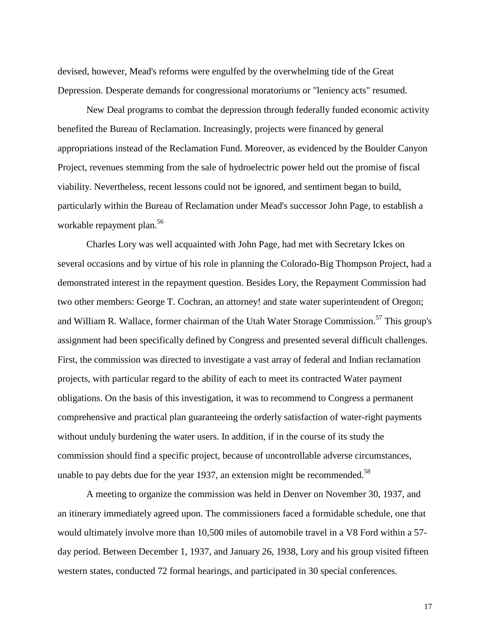devised, however, Mead's reforms were engulfed by the overwhelming tide of the Great Depression. Desperate demands for congressional moratoriums or "leniency acts" resumed.

New Deal programs to combat the depression through federally funded economic activity benefited the Bureau of Reclamation. Increasingly, projects were financed by general appropriations instead of the Reclamation Fund. Moreover, as evidenced by the Boulder Canyon Project, revenues stemming from the sale of hydroelectric power held out the promise of fiscal viability. Nevertheless, recent lessons could not be ignored, and sentiment began to build, particularly within the Bureau of Reclamation under Mead's successor John Page, to establish a workable repayment plan.<sup>56</sup>

Charles Lory was well acquainted with John Page, had met with Secretary Ickes on several occasions and by virtue of his role in planning the Colorado-Big Thompson Project, had a demonstrated interest in the repayment question. Besides Lory, the Repayment Commission had two other members: George T. Cochran, an attorney! and state water superintendent of Oregon; and William R. Wallace, former chairman of the Utah Water Storage Commission.<sup>57</sup> This group's assignment had been specifically defined by Congress and presented several difficult challenges. First, the commission was directed to investigate a vast array of federal and Indian reclamation projects, with particular regard to the ability of each to meet its contracted Water payment obligations. On the basis of this investigation, it was to recommend to Congress a permanent comprehensive and practical plan guaranteeing the orderly satisfaction of water-right payments without unduly burdening the water users. In addition, if in the course of its study the commission should find a specific project, because of uncontrollable adverse circumstances, unable to pay debts due for the year 1937, an extension might be recommended.<sup>58</sup>

A meeting to organize the commission was held in Denver on November 30, 1937, and an itinerary immediately agreed upon. The commissioners faced a formidable schedule, one that would ultimately involve more than 10,500 miles of automobile travel in a V8 Ford within a 57 day period. Between December 1, 1937, and January 26, 1938, Lory and his group visited fifteen western states, conducted 72 formal hearings, and participated in 30 special conferences.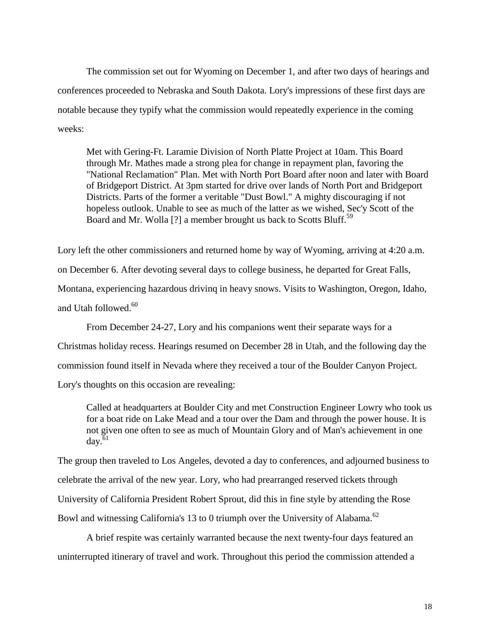The commission set out for Wyoming on December 1, and after two days of hearings and conferences proceeded to Nebraska and South Dakota. Lory's impressions of these first days are notable because they typify what the commission would repeatedly experience in the coming weeks:

Met with Gering-Ft. Laramie Division of North Platte Project at 10am. This Board through Mr. Mathes made a strong plea for change in repayment plan, favoring the "National Reclamation" Plan. Met with North Port Board after noon and later with Board of Bridgeport District. At 3pm started for drive over lands of North Port and Bridgeport Districts. Parts of the former a veritable "Dust Bowl." A mighty discouraging if not hopeless outlook. Unable to see as much of the latter as we wished, Sec'y Scott of the Board and Mr. Wolla [?] a member brought us back to Scotts Bluff.<sup>59</sup>

Lory left the other commissioners and returned home by way of Wyoming, arriving at 4:20 a.m. on December 6. After devoting several days to college business, he departed for Great Falls, Montana, experiencing hazardous drivinq in heavy snows. Visits to Washington, Oregon, Idaho, and Utah followed.<sup>60</sup>

From December 24-27, Lory and his companions went their separate ways for a Christmas holiday recess. Hearings resumed on December 28 in Utah, and the following day the commission found itself in Nevada where they received a tour of the Boulder Canyon Project. Lory's thoughts on this occasion are revealing:

Called at headquarters at Boulder City and met Construction Engineer Lowry who took us for a boat ride on Lake Mead and a tour over the Dam and through the power house. It is not given one often to see as much of Mountain Glory and of Man's achievement in one  $\text{day.}^{61}$ 

The group then traveled to Los Angeles, devoted a day to conferences, and adjourned business to celebrate the arrival of the new year. Lory, who had prearranged reserved tickets through University of California President Robert Sprout, did this in fine style by attending the Rose Bowl and witnessing California's 13 to 0 triumph over the University of Alabama.<sup>62</sup>

A brief respite was certainly warranted because the next twenty-four days featured an uninterrupted itinerary of travel and work. Throughout this period the commission attended a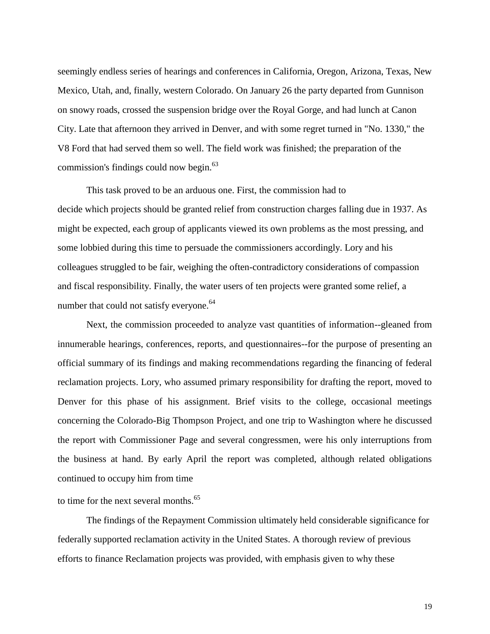seemingly endless series of hearings and conferences in California, Oregon, Arizona, Texas, New Mexico, Utah, and, finally, western Colorado. On January 26 the party departed from Gunnison on snowy roads, crossed the suspension bridge over the Royal Gorge, and had lunch at Canon City. Late that afternoon they arrived in Denver, and with some regret turned in "No. 1330," the V8 Ford that had served them so well. The field work was finished; the preparation of the commission's findings could now begin.<sup>63</sup>

This task proved to be an arduous one. First, the commission had to decide which projects should be granted relief from construction charges falling due in 1937. As might be expected, each group of applicants viewed its own problems as the most pressing, and some lobbied during this time to persuade the commissioners accordingly. Lory and his colleagues struggled to be fair, weighing the often-contradictory considerations of compassion and fiscal responsibility. Finally, the water users of ten projects were granted some relief, a number that could not satisfy everyone.<sup>64</sup>

Next, the commission proceeded to analyze vast quantities of information--gleaned from innumerable hearings, conferences, reports, and questionnaires--for the purpose of presenting an official summary of its findings and making recommendations regarding the financing of federal reclamation projects. Lory, who assumed primary responsibility for drafting the report, moved to Denver for this phase of his assignment. Brief visits to the college, occasional meetings concerning the Colorado-Big Thompson Project, and one trip to Washington where he discussed the report with Commissioner Page and several congressmen, were his only interruptions from the business at hand. By early April the report was completed, although related obligations continued to occupy him from time

to time for the next several months.<sup>65</sup>

The findings of the Repayment Commission ultimately held considerable significance for federally supported reclamation activity in the United States. A thorough review of previous efforts to finance Reclamation projects was provided, with emphasis given to why these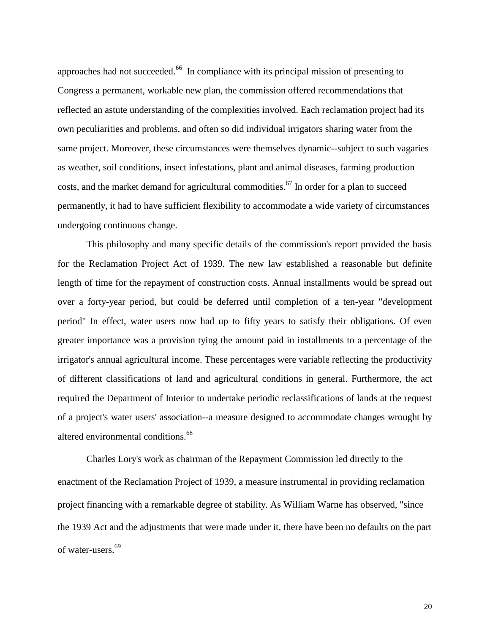approaches had not succeeded.<sup>66</sup> In compliance with its principal mission of presenting to Congress a permanent, workable new plan, the commission offered recommendations that reflected an astute understanding of the complexities involved. Each reclamation project had its own peculiarities and problems, and often so did individual irrigators sharing water from the same project. Moreover, these circumstances were themselves dynamic--subject to such vagaries as weather, soil conditions, insect infestations, plant and animal diseases, farming production costs, and the market demand for agricultural commodities.<sup>67</sup> In order for a plan to succeed permanently, it had to have sufficient flexibility to accommodate a wide variety of circumstances undergoing continuous change.

This philosophy and many specific details of the commission's report provided the basis for the Reclamation Project Act of 1939. The new law established a reasonable but definite length of time for the repayment of construction costs. Annual installments would be spread out over a forty-year period, but could be deferred until completion of a ten-year "development period" In effect, water users now had up to fifty years to satisfy their obligations. Of even greater importance was a provision tying the amount paid in installments to a percentage of the irrigator's annual agricultural income. These percentages were variable reflecting the productivity of different classifications of land and agricultural conditions in general. Furthermore, the act required the Department of Interior to undertake periodic reclassifications of lands at the request of a project's water users' association--a measure designed to accommodate changes wrought by altered environmental conditions.<sup>68</sup>

Charles Lory's work as chairman of the Repayment Commission led directly to the enactment of the Reclamation Project of 1939, a measure instrumental in providing reclamation project financing with a remarkable degree of stability. As William Warne has observed, "since the 1939 Act and the adjustments that were made under it, there have been no defaults on the part of water-users.<sup>69</sup>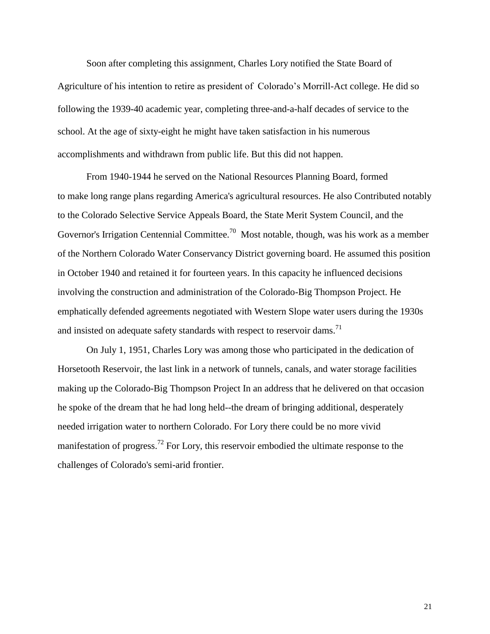Soon after completing this assignment, Charles Lory notified the State Board of Agriculture of his intention to retire as president of Colorado's Morrill-Act college. He did so following the 1939-40 academic year, completing three-and-a-half decades of service to the school. At the age of sixty-eight he might have taken satisfaction in his numerous accomplishments and withdrawn from public life. But this did not happen.

From 1940-1944 he served on the National Resources Planning Board, formed to make long range plans regarding America's agricultural resources. He also Contributed notably to the Colorado Selective Service Appeals Board, the State Merit System Council, and the Governor's Irrigation Centennial Committee.<sup>70</sup> Most notable, though, was his work as a member of the Northern Colorado Water Conservancy District governing board. He assumed this position in October 1940 and retained it for fourteen years. In this capacity he influenced decisions involving the construction and administration of the Colorado-Big Thompson Project. He emphatically defended agreements negotiated with Western Slope water users during the 1930s and insisted on adequate safety standards with respect to reservoir dams.<sup>71</sup>

On July 1, 1951, Charles Lory was among those who participated in the dedication of Horsetooth Reservoir, the last link in a network of tunnels, canals, and water storage facilities making up the Colorado-Big Thompson Project In an address that he delivered on that occasion he spoke of the dream that he had long held--the dream of bringing additional, desperately needed irrigation water to northern Colorado. For Lory there could be no more vivid manifestation of progress.<sup>72</sup> For Lory, this reservoir embodied the ultimate response to the challenges of Colorado's semi-arid frontier.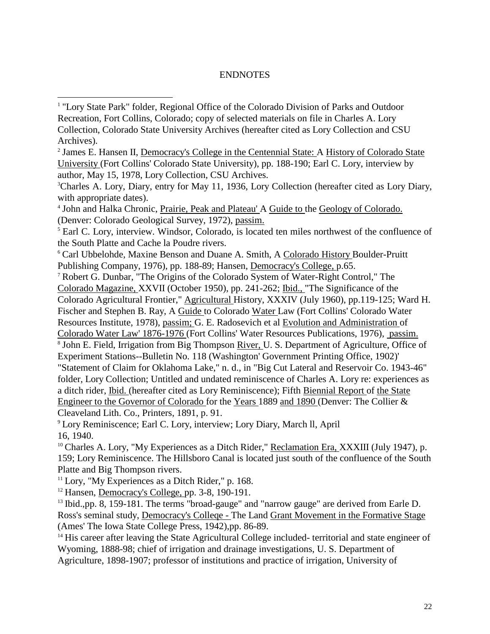## ENDNOTES

<sup>4</sup> John and Halka Chronic, Prairie, Peak and Plateau' A Guide to the Geology of Colorado. (Denver: Colorado Geological Survey, 1972), passim.

<sup>5</sup> Earl C. Lory, interview. Windsor, Colorado, is located ten miles northwest of the confluence of the South Platte and Cache la Poudre rivers.

<sup>6</sup> Carl Ubbelohde, Maxine Benson and Duane A. Smith, A Colorado History Boulder-Pruitt Publishing Company, 1976), pp. 188-89; Hansen, Democracy's College, p.65.

<sup>7</sup> Robert G. Dunbar, "The Origins of the Colorado System of Water-Right Control," The Colorado Magazine, XXVII (October 1950), pp. 241-262; Ibid., "The Significance of the Colorado Agricultural Frontier," Agricultural History, XXXIV (July 1960), pp.119-125; Ward H. Fischer and Stephen B. Ray, A Guide to Colorado Water Law (Fort Collins' Colorado Water Resources Institute, 1978), passim; G. E. Radosevich et al Evolution and Administration of Colorado Water Law' 1876-1976 (Fort Collins' Water Resources Publications, 1976), passim. <sup>8</sup> John E. Field, Irrigation from Big Thompson *River*, U. S. Department of Agriculture, Office of Experiment Stations--Bulletin No. 118 (Washington' Government Printing Office, 1902)' "Statement of Claim for Oklahoma Lake," n. d., in "Big Cut Lateral and Reservoir Co. 1943-46" folder, Lory Collection; Untitled and undated reminiscence of Charles A. Lory re: experiences as a ditch rider, Ibid. (hereafter cited as Lory Reminiscence); Fifth Biennial Report of the State Engineer to the Governor of Colorado for the Years 1889 and 1890 (Denver: The Collier & Cleaveland Lith. Co., Printers, 1891, p. 91.

<sup>9</sup> Lory Reminiscence; Earl C. Lory, interview; Lory Diary, March ll, April 16, 1940.

 $10$  Charles A. Lory, "My Experiences as a Ditch Rider," Reclamation Era, XXXIII (July 1947), p. 159; Lory Reminiscence. The Hillsboro Canal is located just south of the confluence of the South Platte and Big Thompson rivers.

 $11$  Lory, "My Experiences as a Ditch Rider," p. 168.

 $\overline{a}$ 

<sup>12</sup> Hansen, Democracy's College, pp. 3-8, 190-191.

<sup>13</sup> Ibid.,pp. 8, 159-181. The terms "broad-gauge" and "narrow gauge" are derived from Earle D. Ross's seminal study, Democracy's Colleqe - The Land Grant Movement in the Formative Stage (Ames' The Iowa State College Press, 1942),pp. 86-89.

<sup>14</sup> His career after leaving the State Agricultural College included- territorial and state engineer of Wyoming, 1888-98; chief of irrigation and drainage investigations, U. S. Department of Agriculture, 1898-1907; professor of institutions and practice of irrigation, University of

<sup>&</sup>lt;sup>1</sup> "Lory State Park" folder, Regional Office of the Colorado Division of Parks and Outdoor Recreation, Fort Collins, Colorado; copy of selected materials on file in Charles A. Lory Collection, Colorado State University Archives (hereafter cited as Lory Collection and CSU Archives).

<sup>&</sup>lt;sup>2</sup> James E. Hansen II, Democracy's College in the Centennial State: A History of Colorado State University (Fort Collins' Colorado State University), pp. 188-190; Earl C. Lory, interview by author, May 15, 1978, Lory Collection, CSU Archives.

<sup>3</sup>Charles A. Lory, Diary, entry for May 11, 1936, Lory Collection (hereafter cited as Lory Diary, with appropriate dates).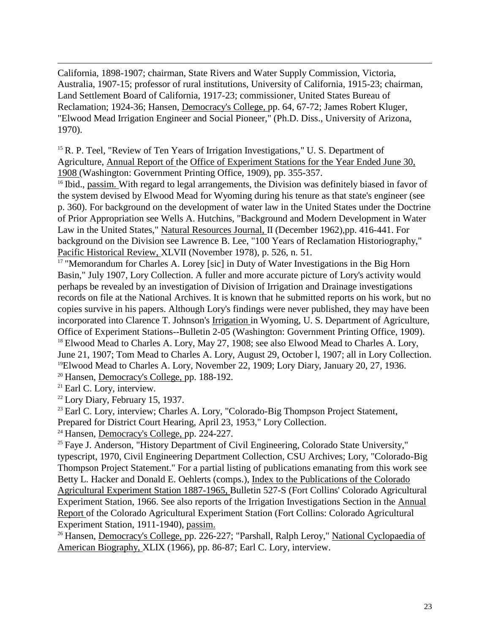California, 1898-1907; chairman, State Rivers and Water Supply Commission, Victoria, Australia, 1907-15; professor of rural institutions, University of California, 1915-23; chairman, Land Settlement Board of California, 1917-23; commissioner, United States Bureau of Reclamation; 1924-36; Hansen, Democracy's College, pp. 64, 67-72; James Robert Kluger, "Elwood Mead Irrigation Engineer and Social Pioneer," (Ph.D. Diss., University of Arizona, 1970).

<sup>15</sup> R. P. Teel, "Review of Ten Years of Irrigation Investigations," U. S. Department of Agriculture, Annual Report of the Office of Experiment Stations for the Year Ended June 30, 1908 (Washington: Government Printing Office, 1909), pp. 355-357.

<sup>16</sup> Ibid., passim. With regard to legal arrangements, the Division was definitely biased in favor of the system devised by Elwood Mead for Wyoming during his tenure as that state's engineer (see p. 360). For background on the development of water law in the United States under the Doctrine of Prior Appropriation see Wells A. Hutchins, "Background and Modern Development in Water Law in the United States," Natural Resources Journal, II (December 1962),pp. 416-441. For background on the Division see Lawrence B. Lee, "100 Years of Reclamation Historiography," Pacific Historical Review, XLVII (November 1978), p. 526, n. 51.

<sup>17</sup> "Memorandum for Charles A. Lorey [sic] in Duty of Water Investigations in the Big Horn Basin," July 1907, Lory Collection. A fuller and more accurate picture of Lory's activity would perhaps be revealed by an investigation of Division of Irrigation and Drainage investigations records on file at the National Archives. It is known that he submitted reports on his work, but no copies survive in his papers. Although Lory's findings were never published, they may have been incorporated into Clarence T. Johnson's Irrigation in Wyoming, U. S. Department of Agriculture, Office of Experiment Stations--Bulletin 2-05 (Washington: Government Printing Office, 1909). <sup>18</sup> Elwood Mead to Charles A. Lory, May 27, 1908; see also Elwood Mead to Charles A. Lory, June 21, 1907; Tom Mead to Charles A. Lory, August 29, October l, 1907; all in Lory Collection. <sup>19</sup>Elwood Mead to Charles A. Lory, November 22, 1909; Lory Diary, January 20, 27, 1936.

<sup>20</sup> Hansen, Democracy's College, pp. 188-192.

<sup>21</sup> Earl C. Lory, interview.

 $\overline{a}$ 

 $22$  Lory Diary, February 15, 1937.

<sup>23</sup> Earl C. Lory, interview; Charles A. Lory, "Colorado-Big Thompson Project Statement,

Prepared for District Court Hearing, April 23, 1953," Lory Collection.

<sup>24</sup> Hansen, Democracy's College, pp. 224-227.

<sup>25</sup> Faye J. Anderson, "History Department of Civil Engineering, Colorado State University," typescript, 1970, Civil Engineering Department Collection, CSU Archives; Lory, "Colorado-Big Thompson Project Statement." For a partial listing of publications emanating from this work see Betty L. Hacker and Donald E. Oehlerts (comps.), Index to the Publications of the Colorado Agricultural Experiment Station 1887-1965, Bulletin 527-S (Fort Collins' Colorado Agricultural Experiment Station, 1966. See also reports of the Irrigation Investigations Section in the Annual Report of the Colorado Agricultural Experiment Station (Fort Collins: Colorado Agricultural Experiment Station, 1911-1940), passim.

<sup>26</sup> Hansen, Democracy's College, pp. 226-227; "Parshall, Ralph Leroy," National Cyclopaedia of American Biography, XLIX (1966), pp. 86-87; Earl C. Lory, interview.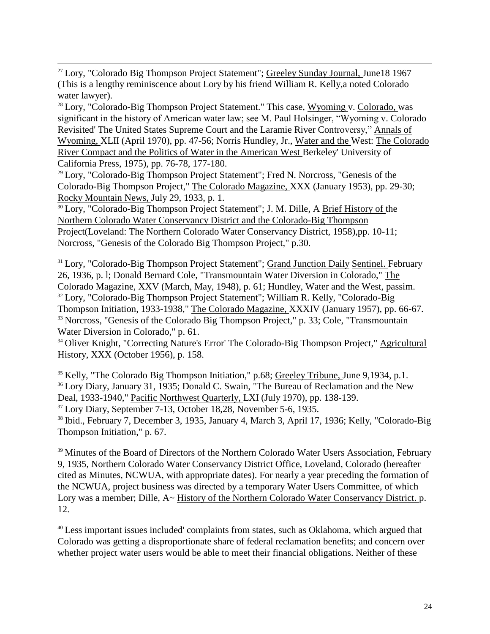$27$  Lory, "Colorado Big Thompson Project Statement"; Greeley Sunday Journal, June18 1967 (This is a lengthy reminiscence about Lory by his friend William R. Kelly,a noted Colorado water lawyer).

 $\overline{a}$ 

 $28$  Lory, "Colorado-Big Thompson Project Statement." This case, Wyoming v. Colorado, was significant in the history of American water law; see M. Paul Holsinger, "Wyoming v. Colorado Revisited' The United States Supreme Court and the Laramie River Controversy," Annals of Wyoming, XLII (April 1970), pp. 47-56; Norris Hundley, Jr., Water and the West: The Colorado River Compact and the Politics of Water in the American West Berkeley' University of California Press, 1975), pp. 76-78, 177-180.

<sup>29</sup> Lory, "Colorado-Big Thompson Project Statement"; Fred N. Norcross, "Genesis of the Colorado-Big Thompson Project," The Colorado Magazine, XXX (January 1953), pp. 29-30; Rocky Mountain News, July 29, 1933, p. 1.

<sup>30</sup> Lory, "Colorado-Big Thompson Project Statement"; J. M. Dille, A Brief History of the Northern Colorado Water Conservancy District and the Colorado-Big Thompson Project(Loveland: The Northern Colorado Water Conservancy District, 1958),pp. 10-11; Norcross, "Genesis of the Colorado Big Thompson Project," p.30.

<sup>31</sup> Lory, "Colorado-Big Thompson Project Statement"; Grand Junction Daily Sentinel. February 26, 1936, p. l; Donald Bernard Cole, "Transmountain Water Diversion in Colorado," The Colorado Magazine, XXV (March, May, 1948), p. 61; Hundley, Water and the West, passim. <sup>32</sup> Lory, "Colorado-Big Thompson Project Statement"; William R. Kelly, "Colorado-Big Thompson Initiation, 1933-1938," The Colorado Magazine, XXXIV (January 1957), pp. 66-67. <sup>33</sup> Norcross, "Genesis of the Colorado Big Thompson Project," p. 33; Cole, "Transmountain Water Diversion in Colorado," p. 61.

<sup>34</sup> Oliver Knight, "Correcting Nature's Error' The Colorado-Big Thompson Project," Agricultural History, XXX (October 1956), p. 158.

<sup>35</sup> Kelly, "The Colorado Big Thompson Initiation," p.68; Greeley Tribune, June 9,1934, p.1. <sup>36</sup> Lory Diary, January 31, 1935; Donald C. Swain, "The Bureau of Reclamation and the New Deal, 1933-1940," Pacific Northwest Quarterly, LXI (July 1970), pp. 138-139.

<sup>37</sup> Lory Diary, September 7-13, October 18,28, November 5-6, 1935.

<sup>38</sup> Ibid., February 7, December 3, 1935, January 4, March 3, April 17, 1936; Kelly, "Colorado-Big Thompson Initiation," p. 67.

<sup>39</sup> Minutes of the Board of Directors of the Northern Colorado Water Users Association, February 9, 1935, Northern Colorado Water Conservancy District Office, Loveland, Colorado (hereafter cited as Minutes, NCWUA, with appropriate dates). For nearly a year preceding the formation of the NCWUA, project business was directed by a temporary Water Users Committee, of which Lory was a member; Dille, A~ History of the Northern Colorado Water Conservancy District. p. 12.

<sup>40</sup> Less important issues included' complaints from states, such as Oklahoma, which argued that Colorado was getting a disproportionate share of federal reclamation benefits; and concern over whether project water users would be able to meet their financial obligations. Neither of these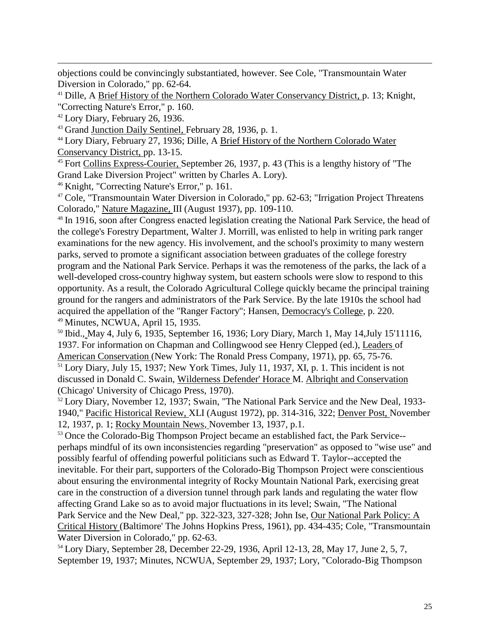objections could be convincingly substantiated, however. See Cole, "Transmountain Water Diversion in Colorado," pp. 62-64.

<sup>41</sup> Dille, A Brief History of the Northern Colorado Water Conservancy District, p. 13; Knight, "Correcting Nature's Error," p. 160.

<sup>42</sup> Lory Diary, February 26, 1936.

 $\overline{a}$ 

<sup>43</sup> Grand Junction Daily Sentinel, February 28, 1936, p. 1.

<sup>44</sup> Lory Diary, February 27, 1936; Dille, A Brief History of the Northern Colorado Water Conservancy District, pp. 13-15.

<sup>45</sup> Fort Collins Express-Courier, September 26, 1937, p. 43 (This is a lengthy history of "The Grand Lake Diversion Project" written by Charles A. Lory).

<sup>46</sup> Knight, "Correcting Nature's Error," p. 161.

<sup>47</sup> Cole, "Transmountain Water Diversion in Colorado," pp. 62-63; "Irrigation Project Threatens Colorado," Nature Magazine, III (August 1937), pp. 109-110.

<sup>48</sup> In 1916, soon after Congress enacted legislation creating the National Park Service, the head of the college's Forestry Department, Walter J. Morrill, was enlisted to help in writing park ranger examinations for the new agency. His involvement, and the school's proximity to many western parks, served to promote a significant association between graduates of the college forestry program and the National Park Service. Perhaps it was the remoteness of the parks, the lack of a well-developed cross-country highway system, but eastern schools were slow to respond to this opportunity. As a result, the Colorado Agricultural College quickly became the principal training ground for the rangers and administrators of the Park Service. By the late 1910s the school had acquired the appellation of the "Ranger Factory"; Hansen, Democracy's College, p. 220. <sup>49</sup> Minutes, NCWUA, April 15, 1935.

<sup>50</sup> Ibid., May 4, July 6, 1935, September 16, 1936; Lory Diary, March 1, May 14,July 15'11116, 1937. For information on Chapman and Collingwood see Henry Clepped (ed.), Leaders of American Conservation (New York: The Ronald Press Company, 1971), pp. 65, 75-76.

<sup>51</sup> Lory Diary, July 15, 1937; New York Times, July 11, 1937, XI, p. 1. This incident is not discussed in Donald C. Swain, Wilderness Defender' Horace M. Albriqht and Conservation (Chicago' University of Chicago Press, 1970).

<sup>52</sup> Lory Diary, November 12, 1937; Swain, "The National Park Service and the New Deal, 1933- 1940," Pacific Historical Review, XLI (August 1972), pp. 314-316, 322; Denver Post, November 12, 1937, p. 1; Rocky Mountain News, November 13, 1937, p.1.

<sup>53</sup> Once the Colorado-Big Thompson Project became an established fact, the Park Service-perhaps mindful of its own inconsistencies regarding "preservation" as opposed to "wise use" and possibly fearful of offending powerful politicians such as Edward T. Taylor--accepted the inevitable. For their part, supporters of the Colorado-Big Thompson Project were conscientious about ensuring the environmental integrity of Rocky Mountain National Park, exercising great care in the construction of a diversion tunnel through park lands and regulating the water flow affecting Grand Lake so as to avoid major fluctuations in its level; Swain, "The National Park Service and the New Deal," pp. 322-323, 327-328; John Ise, Our National Park Policy: A Critical History (Baltimore' The Johns Hopkins Press, 1961), pp. 434-435; Cole, "Transmountain Water Diversion in Colorado," pp. 62-63.

<sup>54</sup> Lory Diary, September 28, December 22-29, 1936, April 12-13, 28, May 17, June 2, 5, 7, September 19, 1937; Minutes, NCWUA, September 29, 1937; Lory, "Colorado-Big Thompson